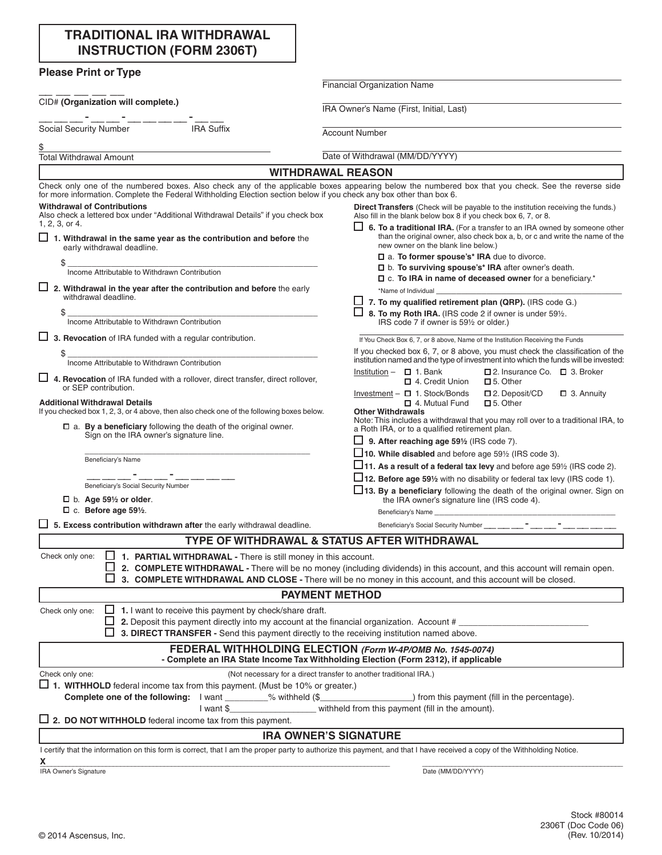| <b>TRADITIONAL IRA WITHDRAWAL</b> |
|-----------------------------------|
| <b>INSTRUCTION (FORM 2306T)</b>   |

| <b>Please Print or Type</b>                                                                                                              |                                                                                                                                                                                                  |
|------------------------------------------------------------------------------------------------------------------------------------------|--------------------------------------------------------------------------------------------------------------------------------------------------------------------------------------------------|
|                                                                                                                                          | <b>Financial Organization Name</b>                                                                                                                                                               |
| CID# (Organization will complete.)                                                                                                       | IRA Owner's Name (First, Initial, Last)                                                                                                                                                          |
| Social Security Number<br><b>IRA Suffix</b>                                                                                              | <b>Account Number</b>                                                                                                                                                                            |
| \$<br><b>Total Withdrawal Amount</b>                                                                                                     | Date of Withdrawal (MM/DD/YYYY)                                                                                                                                                                  |
|                                                                                                                                          | <b>WITHDRAWAL REASON</b>                                                                                                                                                                         |
| for more information. Complete the Federal Withholding Election section below if you check any box other than box 6.                     | Check only one of the numbered boxes. Also check any of the applicable boxes appearing below the numbered box that you check. See the reverse side                                               |
| <b>Withdrawal of Contributions</b><br>Also check a lettered box under "Additional Withdrawal Details" if you check box<br>1, 2, 3, or 4. | Direct Transfers (Check will be payable to the institution receiving the funds.)<br>Also fill in the blank below box 8 if you check box 6, 7, or 8.                                              |
| $\Box$ 1. Withdrawal in the same year as the contribution and before the<br>early withdrawal deadline.                                   | 6. To a traditional IRA. (For a transfer to an IRA owned by someone other<br>than the original owner, also check box a, b, or c and write the name of the<br>new owner on the blank line below.) |
| \$                                                                                                                                       | □ a. To former spouse's* IRA due to divorce.                                                                                                                                                     |
| Income Attributable to Withdrawn Contribution                                                                                            | $\square$ b. To surviving spouse's* IRA after owner's death.                                                                                                                                     |
| $\Box$ 2. Withdrawal in the year after the contribution and before the early                                                             | $\Box$ c. To IRA in name of deceased owner for a beneficiary.*<br>*Name of Individual                                                                                                            |
| withdrawal deadline.                                                                                                                     | $\Box$ 7. To my qualified retirement plan (QRP). (IRS code G.)                                                                                                                                   |
| \$                                                                                                                                       | 8. To my Roth IRA. (IRS code 2 if owner is under 591/2.                                                                                                                                          |
| Income Attributable to Withdrawn Contribution                                                                                            | IRS code 7 if owner is 591/2 or older.)                                                                                                                                                          |
| $\Box$ 3. Revocation of IRA funded with a regular contribution.                                                                          | If You Check Box 6, 7, or 8 above, Name of the Institution Receiving the Funds                                                                                                                   |
| \$                                                                                                                                       | If you checked box 6, 7, or 8 above, you must check the classification of the                                                                                                                    |
| Income Attributable to Withdrawn Contribution<br>4. Revocation of IRA funded with a rollover, direct transfer, direct rollover,          | institution named and the type of investment into which the funds will be invested:<br>□ 2. Insurance Co. □ 3. Broker<br>Institution $ \Box$ 1. Bank<br>4. Credit Union<br>$\Box$ 5. Other       |
| or SEP contribution.                                                                                                                     | Investment $ \Box$ 1. Stock/Bonds<br>$\square$ 2. Deposit/CD<br>$\Box$ 3. Annuity                                                                                                                |
| <b>Additional Withdrawal Details</b><br>If you checked box 1, 2, 3, or 4 above, then also check one of the following boxes below.        | $\Box$ 5. Other<br>口 4. Mutual Fund<br><b>Other Withdrawals</b><br>Note: This includes a withdrawal that you may roll over to a traditional IRA, to                                              |
| $\Box$ a. By a beneficiary following the death of the original owner.<br>Sign on the IRA owner's signature line.                         | a Roth IRA, or to a qualified retirement plan.<br>9. After reaching age 591/2 (IRS code 7).                                                                                                      |
| Beneficiary's Name                                                                                                                       | $\square$ 10. While disabled and before age 59% (IRS code 3).                                                                                                                                    |
|                                                                                                                                          | $\Box$ 11. As a result of a federal tax levy and before age 59 $\frac{1}{2}$ (IRS code 2).                                                                                                       |
| Beneficiary's Social Security Number                                                                                                     | $\square$ 12. Before age 591/ <sub>2</sub> with no disability or federal tax levy (IRS code 1).                                                                                                  |
| $\Box$ b. Age 591/2 or older.                                                                                                            | $\square$ 13. By a beneficiary following the death of the original owner. Sign on<br>the IRA owner's signature line (IRS code 4).                                                                |
| $\Box$ c. Before age 591/2.                                                                                                              | Beneficiary's Name                                                                                                                                                                               |
| $\Box$ 5. Excess contribution withdrawn after the early withdrawal deadline.                                                             |                                                                                                                                                                                                  |
|                                                                                                                                          | <b>TYPE OF WITHDRAWAL &amp; STATUS AFTER WITHDRAWAL</b>                                                                                                                                          |
| $\Box$ 1. PARTIAL WITHDRAWAL - There is still money in this account.<br>Check only one:                                                  |                                                                                                                                                                                                  |
|                                                                                                                                          | 2. COMPLETE WITHDRAWAL - There will be no money (including dividends) in this account, and this account will remain open.                                                                        |
|                                                                                                                                          | 3. COMPLETE WITHDRAWAL AND CLOSE - There will be no money in this account, and this account will be closed.                                                                                      |
|                                                                                                                                          | <b>PAYMENT METHOD</b>                                                                                                                                                                            |
| 1. I want to receive this payment by check/share draft.<br>Check only one:                                                               |                                                                                                                                                                                                  |
| 2. Deposit this payment directly into my account at the financial organization. Account #                                                |                                                                                                                                                                                                  |
| 3. DIRECT TRANSFER - Send this payment directly to the receiving institution named above.                                                |                                                                                                                                                                                                  |
|                                                                                                                                          | FEDERAL WITHHOLDING ELECTION (Form W-4P/OMB No. 1545-0074)<br>- Complete an IRA State Income Tax Withholding Election (Form 2312), if applicable                                                 |
| Check only one:                                                                                                                          | (Not necessary for a direct transfer to another traditional IRA.)                                                                                                                                |
| $\Box$ 1. WITHHOLD federal income tax from this payment. (Must be 10% or greater.)                                                       |                                                                                                                                                                                                  |
|                                                                                                                                          | Complete one of the following: I want ________% withheld (\$_____________________) from this payment (fill in the percentage).                                                                   |
|                                                                                                                                          | I want \$________________________ withheld from this payment (fill in the amount).                                                                                                               |
| $\Box$ 2. DO NOT WITHHOLD federal income tax from this payment.                                                                          |                                                                                                                                                                                                  |
|                                                                                                                                          | <b>IRA OWNER'S SIGNATURE</b>                                                                                                                                                                     |
|                                                                                                                                          | I certify that the information on this form is correct, that I am the proper party to authorize this payment, and that I have received a copy of the Withholding Notice.                         |
| X<br>IRA Owner's Signature                                                                                                               | Date (MM/DD/YYYY)                                                                                                                                                                                |